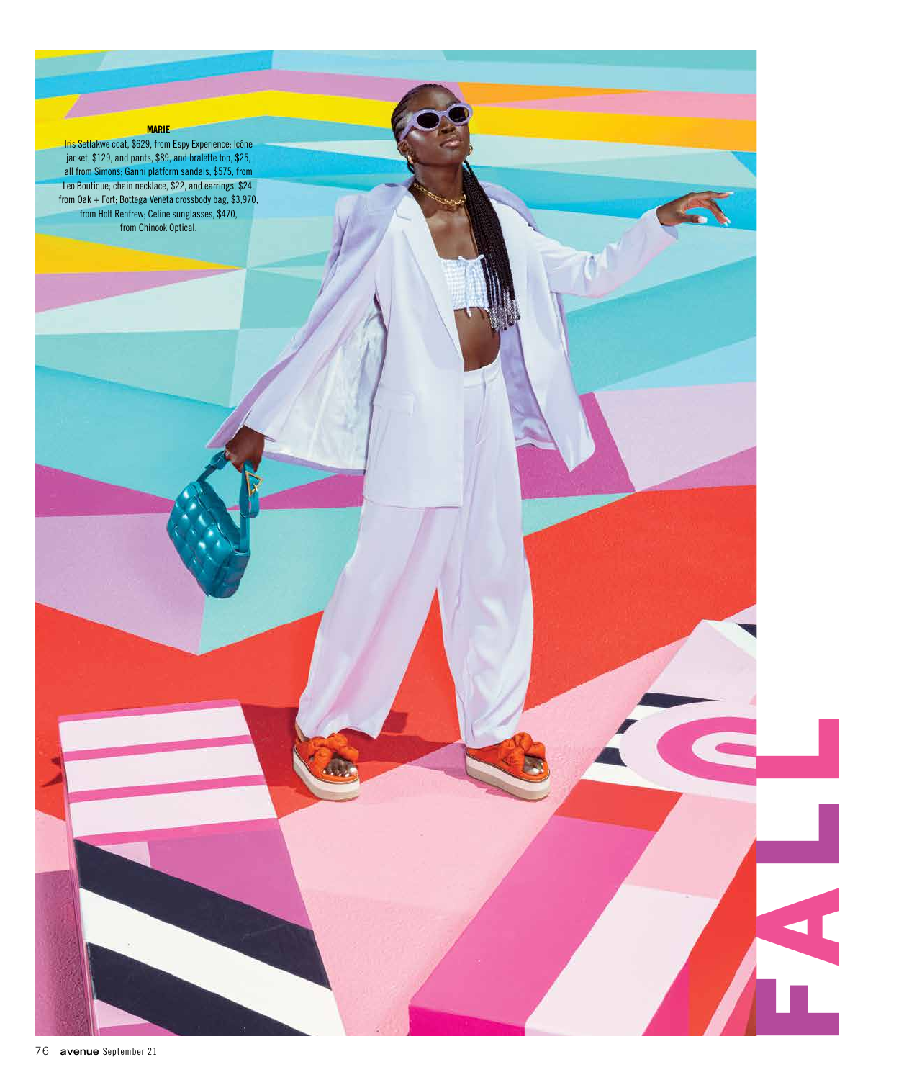**Firs Setlakwe coat, \$629, and parts, \$32, entrop and parts, \$32, and barriers, \$24, from Espy Experience; Icône<br>
all from Sinomers, Estimates, Estate and Data and Data income in Set and Data and Data income is a strong th** jacket, \$129, and pants, \$89, and bralette top, \$25, all from Simons; Ganni platform sandals, \$575, from Leo Boutique; chain necklace, \$22, and earrings, \$24, from Oak + Fort; Bottega Veneta crossbody bag, \$3,970, from Holt Renfrew; Celine sunglasses, \$470, from Chinook Optical.

FAL L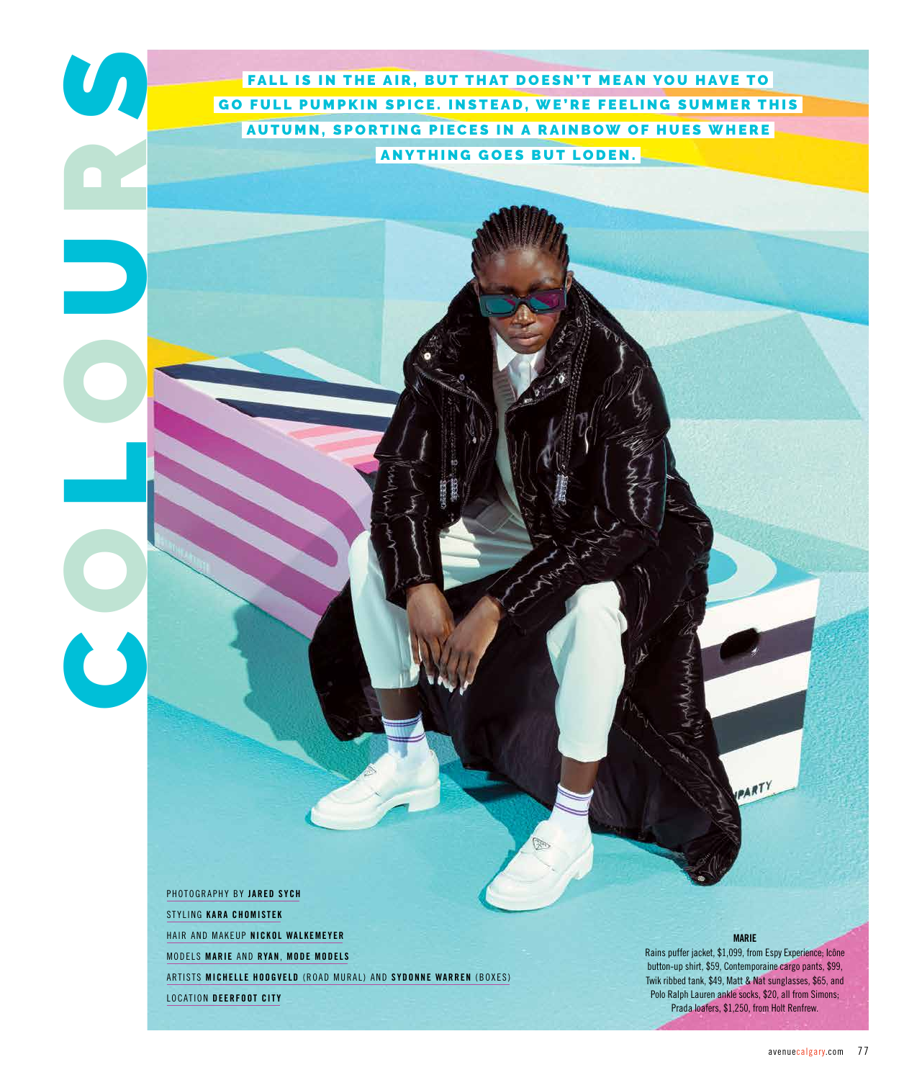FALL IS IN THE AIR, BUT THAT DOESN'T MEAN YOU HAVE TO GO FULL PUMPKIN SPICE. INSTEAD, WE'RE FEELING SUMMER THIS AUTUMN, SPORTING PIECES IN A RAINBOW OF HUES WHERE ANYTHING GOES BUT LODEN.

PHOTOGRAPHY BY **JARED SYCH** STYLING **KARA CHOMISTEK** HAIR AND MAKEUP **NICKOL WALKEMEYER** MODELS **MARIE** AND **RYAN**, **MODE MODELS** ARTISTS MICHELLE HOOGVELD (ROAD MURAL) AND SYDONNE WARREN (BOXES) LOCATION **DEERFOOT CITY**

C

O

L

O

U

R

 $\overline{a}$ 

## **MARIE**

ARTY

Rains puffer jacket, \$1,099, from Espy Experience; Icône button-up shirt, \$59, Contemporaine cargo pants, \$99, Twik ribbed tank, \$49, Matt & Nat sunglasses, \$65, and Polo Ralph Lauren ankle socks, \$20, all from Simons; Prada loafers, \$1,250, from Holt Renfrew.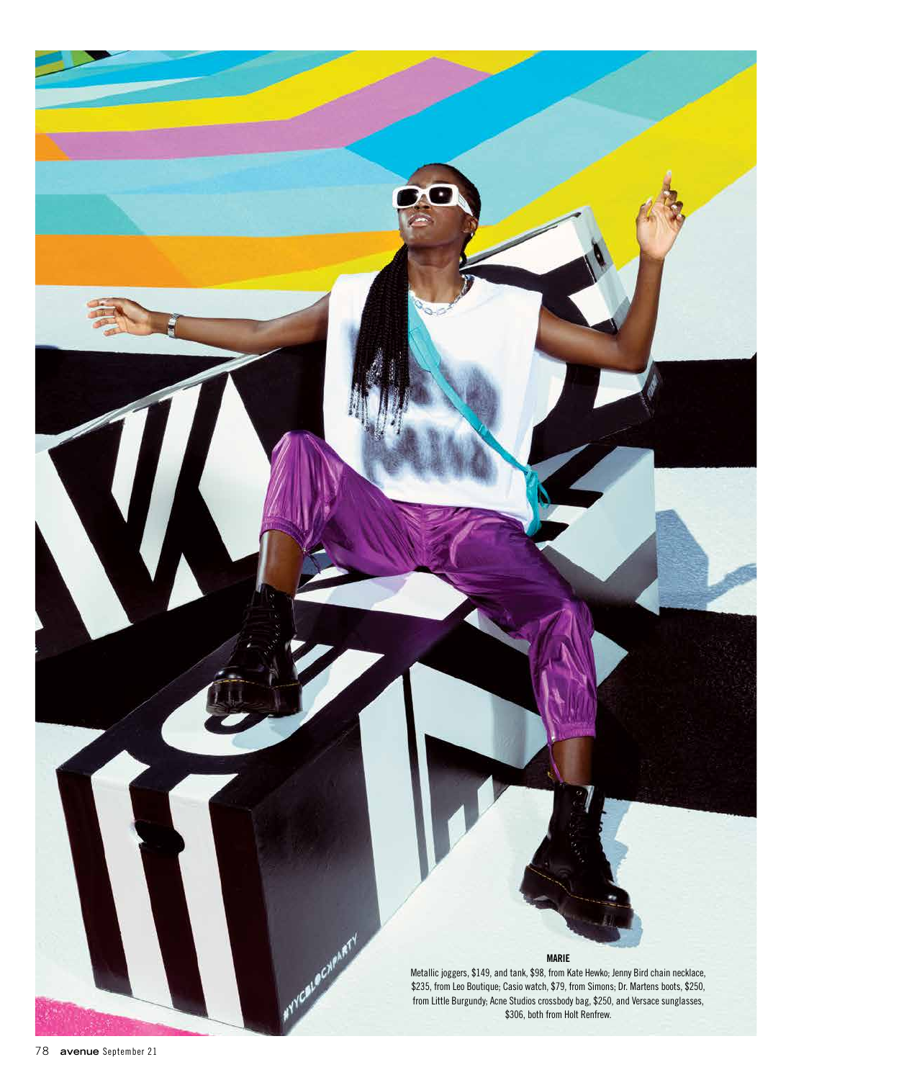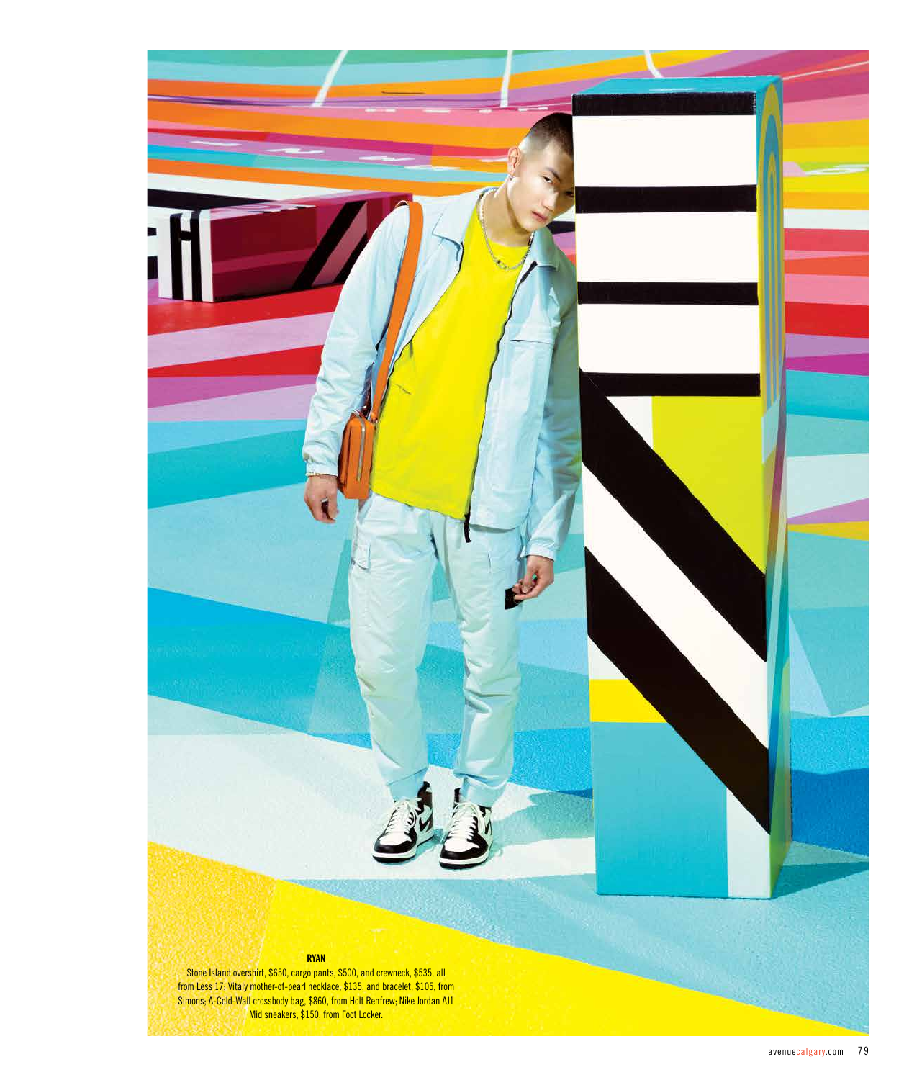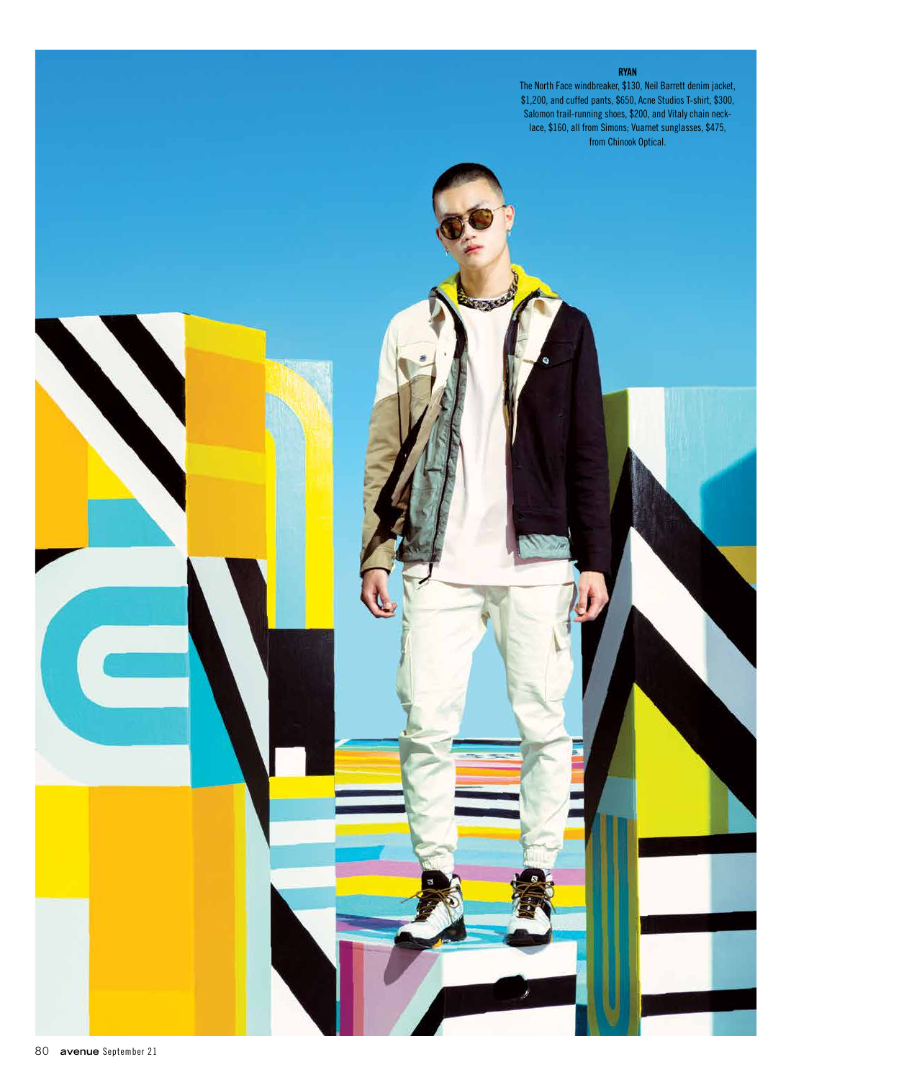

The North Face windbreaker, \$130, Neil Barrett denim jacket, \$1,200, and cuffed pants, \$650, Acne Studios T-shirt, \$300, Salomon trail-running shoes, \$200, and Vitaly chain necklace, \$160, all from Simons; Vuarnet sunglasses, \$475, from Chinook Optical.

soxes

Ò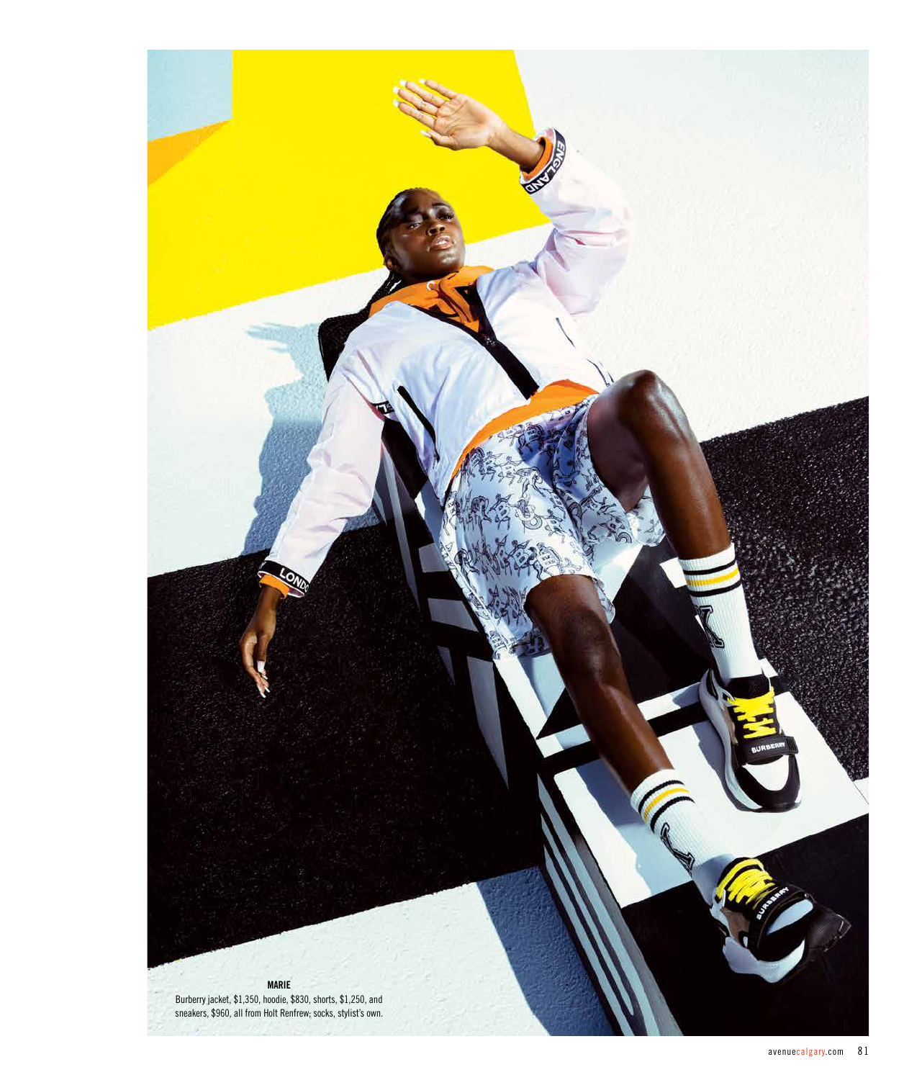